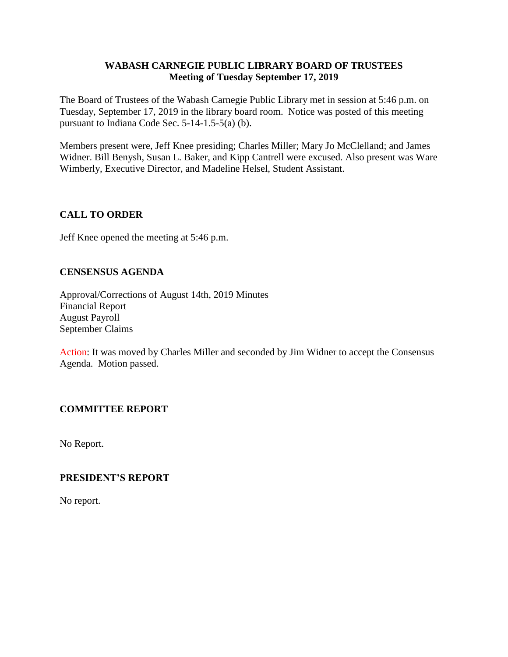## **WABASH CARNEGIE PUBLIC LIBRARY BOARD OF TRUSTEES Meeting of Tuesday September 17, 2019**

The Board of Trustees of the Wabash Carnegie Public Library met in session at 5:46 p.m. on Tuesday, September 17, 2019 in the library board room. Notice was posted of this meeting pursuant to Indiana Code Sec. 5-14-1.5-5(a) (b).

Members present were, Jeff Knee presiding; Charles Miller; Mary Jo McClelland; and James Widner. Bill Benysh, Susan L. Baker, and Kipp Cantrell were excused. Also present was Ware Wimberly, Executive Director, and Madeline Helsel, Student Assistant.

# **CALL TO ORDER**

Jeff Knee opened the meeting at 5:46 p.m.

## **CENSENSUS AGENDA**

Approval/Corrections of August 14th, 2019 Minutes Financial Report August Payroll September Claims

Action: It was moved by Charles Miller and seconded by Jim Widner to accept the Consensus Agenda. Motion passed.

## **COMMITTEE REPORT**

No Report.

#### **PRESIDENT'S REPORT**

No report.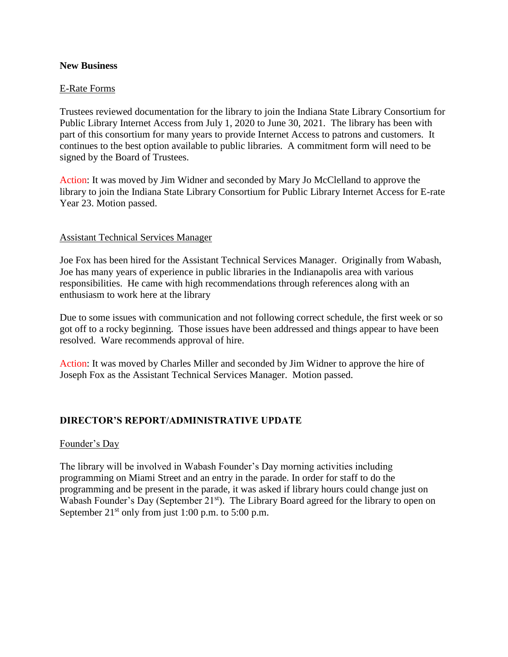#### **New Business**

#### E-Rate Forms

Trustees reviewed documentation for the library to join the Indiana State Library Consortium for Public Library Internet Access from July 1, 2020 to June 30, 2021. The library has been with part of this consortium for many years to provide Internet Access to patrons and customers. It continues to the best option available to public libraries. A commitment form will need to be signed by the Board of Trustees.

Action: It was moved by Jim Widner and seconded by Mary Jo McClelland to approve the library to join the Indiana State Library Consortium for Public Library Internet Access for E-rate Year 23. Motion passed.

#### Assistant Technical Services Manager

Joe Fox has been hired for the Assistant Technical Services Manager. Originally from Wabash, Joe has many years of experience in public libraries in the Indianapolis area with various responsibilities. He came with high recommendations through references along with an enthusiasm to work here at the library

Due to some issues with communication and not following correct schedule, the first week or so got off to a rocky beginning. Those issues have been addressed and things appear to have been resolved. Ware recommends approval of hire.

Action: It was moved by Charles Miller and seconded by Jim Widner to approve the hire of Joseph Fox as the Assistant Technical Services Manager. Motion passed.

#### **DIRECTOR'S REPORT/ADMINISTRATIVE UPDATE**

#### Founder's Day

The library will be involved in Wabash Founder's Day morning activities including programming on Miami Street and an entry in the parade. In order for staff to do the programming and be present in the parade, it was asked if library hours could change just on Wabash Founder's Day (September 21<sup>st</sup>). The Library Board agreed for the library to open on September  $21<sup>st</sup>$  only from just 1:00 p.m. to 5:00 p.m.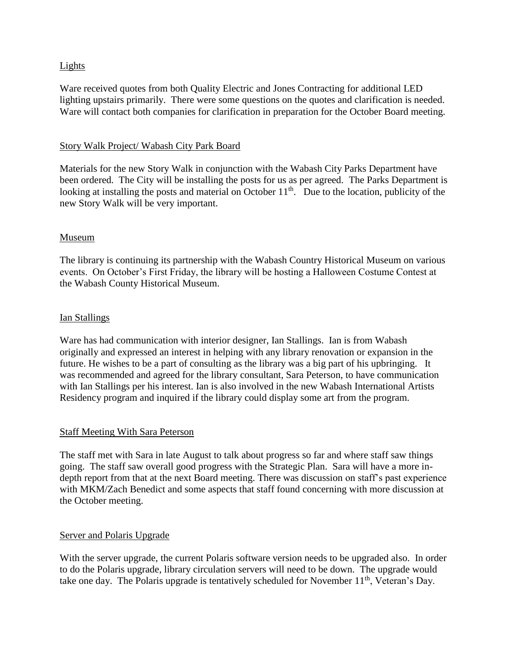## **Lights**

Ware received quotes from both Quality Electric and Jones Contracting for additional LED lighting upstairs primarily. There were some questions on the quotes and clarification is needed. Ware will contact both companies for clarification in preparation for the October Board meeting.

#### Story Walk Project/ Wabash City Park Board

Materials for the new Story Walk in conjunction with the Wabash City Parks Department have been ordered. The City will be installing the posts for us as per agreed. The Parks Department is looking at installing the posts and material on October  $11<sup>th</sup>$ . Due to the location, publicity of the new Story Walk will be very important.

## Museum

The library is continuing its partnership with the Wabash Country Historical Museum on various events. On October's First Friday, the library will be hosting a Halloween Costume Contest at the Wabash County Historical Museum.

## Ian Stallings

Ware has had communication with interior designer, Ian Stallings. Ian is from Wabash originally and expressed an interest in helping with any library renovation or expansion in the future. He wishes to be a part of consulting as the library was a big part of his upbringing. It was recommended and agreed for the library consultant, Sara Peterson, to have communication with Ian Stallings per his interest. Ian is also involved in the new Wabash International Artists Residency program and inquired if the library could display some art from the program.

### Staff Meeting With Sara Peterson

The staff met with Sara in late August to talk about progress so far and where staff saw things going. The staff saw overall good progress with the Strategic Plan. Sara will have a more indepth report from that at the next Board meeting. There was discussion on staff's past experience with MKM/Zach Benedict and some aspects that staff found concerning with more discussion at the October meeting.

#### Server and Polaris Upgrade

With the server upgrade, the current Polaris software version needs to be upgraded also. In order to do the Polaris upgrade, library circulation servers will need to be down. The upgrade would take one day. The Polaris upgrade is tentatively scheduled for November  $11<sup>th</sup>$ , Veteran's Day.